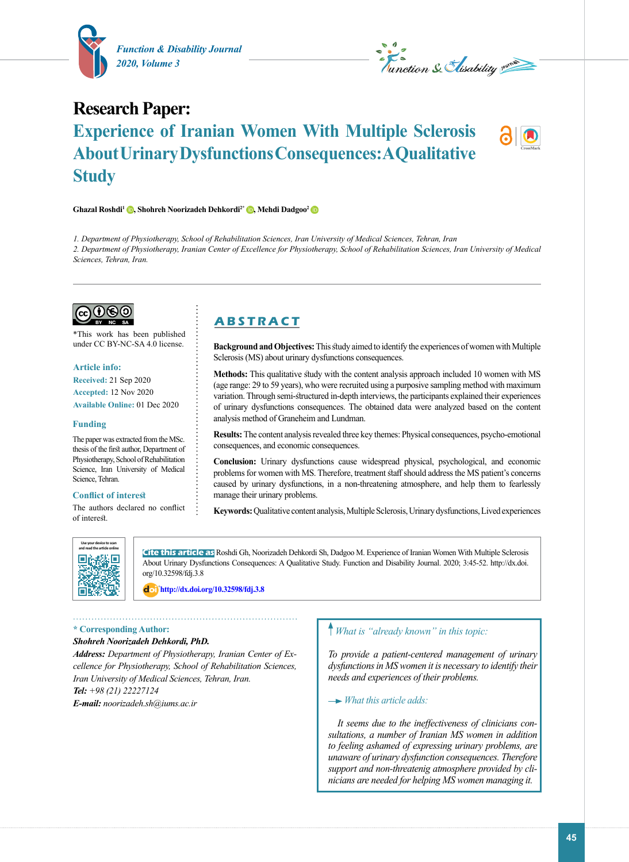

Le Conction & Hisability pource

# **Research Paper: Experience of Iranian Women With Multiple Sclerosis About Urinary Dysfunctions Consequences: A Qualitative Study**

## **Ghazal Roshdi1 [,](https://orcid.org/0000-0003-4852-8202) Shohreh Noorizadeh Dehkordi2\* [,](https://orcid.org/0000-0003-0988-188X) Mehdi Dadgoo2**

*1. Department of Physiotherapy, School of Rehabilitation Sciences, Iran University of Medical Sciences, Tehran, Iran 2. Department of Physiotherapy, Iranian Center of Excellence for Physiotherapy, School of Rehabilitation Sciences, Iran University of Medical Sciences, Tehran, Iran.*



\*This work has been published under CC BY-NC-SA 4.0 license.

#### **Article info:**

**Received:** 21 Sep 2020 **Accepted:** 12 Nov 2020 **Available Online:** 01 Dec 2020

#### **Funding**

The paper was extracted from the MSc. thesis of the first author, Department of Physiotherapy, School of Rehabilitation Science, Iran University of Medical Science, Tehran.

#### **Conflict of interest**

The authors declared no conflict of interest.

## **A B S T R A C T**

**Background and Objectives:** This study aimed to identify the experiences of women with Multiple Sclerosis (MS) about urinary dysfunctions consequences.

**Methods:** This qualitative study with the content analysis approach included 10 women with MS (age range: 29 to 59 years), who were recruited using a purposive sampling method with maximum variation. Through semi-structured in-depth interviews, the participants explained their experiences of urinary dysfunctions consequences. The obtained data were analyzed based on the content analysis method of Graneheim and Lundman.

**Results:** The content analysis revealed three key themes: Physical consequences, psycho-emotional consequences, and economic consequences.

**Conclusion:** Urinary dysfunctions cause widespread physical, psychological, and economic problems for women with MS. Therefore, treatment staff should address the MS patient's concerns caused by urinary dysfunctions, in a non-threatening atmosphere, and help them to fearlessly manage their urinary problems.

**Keywords:** Qualitative content analysis, Multiple Sclerosis, Urinary dysfunctions, Lived experiences



**Cite this article as** Roshdi Gh, Noorizadeh Dehkordi Sh, Dadgoo M. Experience of Iranian Women With Multiple Sclerosis About Urinary Dysfunctions Consequences: A Qualitative Study. Function and Disability Journal. 2020; 3:45-52. http://dx.doi. org/10.32598/fdj.3.8

: **<http://dx.doi.org/10.32598/fdj.3.8>**

### . . . . . . . . . . . . . . . . . . **\* Corresponding Author:**

## *Shohreh Noorizadeh Dehkordi, PhD.*

*Address: Department of Physiotherapy, Iranian Center of Excellence for Physiotherapy, School of Rehabilitation Sciences, Iran University of Medical Sciences, Tehran, Iran. Tel: +98 (21) 22227124 E-mail: noorizadeh.sh@iums.ac.ir*

## *What is "already known" in this topic:*

*To provide a patient-centered management of urinary dysfunctions in MS women it is necessary to identify their needs and experiences of their problems.*

## *What this article adds:*

 *It seems due to the ineffectiveness of clinicians consultations, a number of Iranian MS women in addition to feeling ashamed of expressing urinary problems, are unaware of urinary dysfunction consequences. Therefore support and non-threatenig atmosphere provided by clinicians are needed for helping MS women managing it.*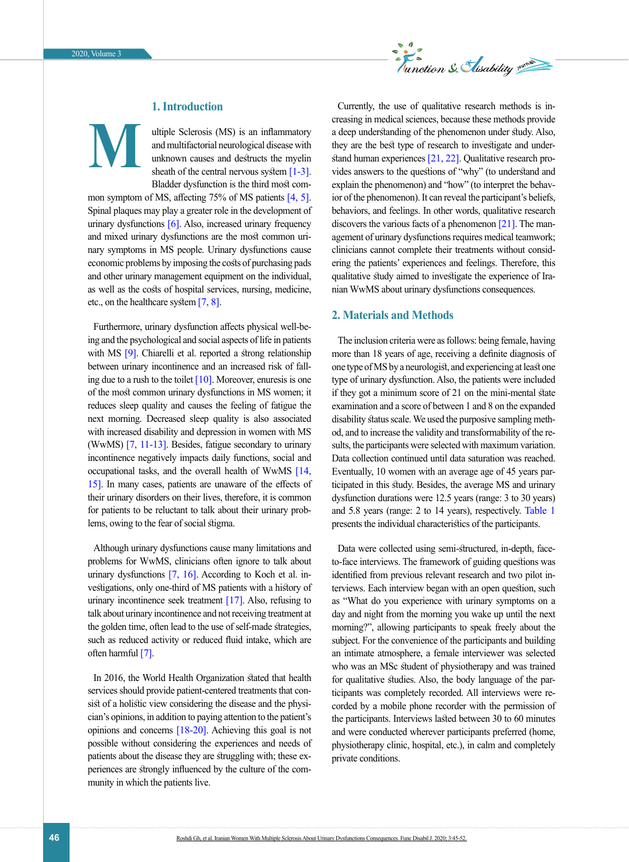

## **1. Introduction**

**M**

ultiple Sclerosis (MS) is an inflammatory and multifactorial neurological disease with unknown causes and destructs the myelin sheath of the central nervous system  $[1-3]$ . Bladder dysfunction is the third most com-

mon symptom of MS, affecting 75% of MS patients [4, [5\].](#page-6-0) Spinal plaques may play a greater role in the development of urinary dysfunctions [\[6\].](#page-6-1) Also, increased urinary frequency and mixed urinary dysfunctions are the most common urinary symptoms in MS people. Urinary dysfunctions cause economic problems by imposing the costs of purchasing pads and other urinary management equipment on the individual, as well as the costs of hospital services, nursing, medicine, etc., on the healthcare system [\[7,](#page-6-2) 8].

Furthermore, urinary dysfunction affects physical well-being and the psychological and social aspects of life in patients with MS [\[9\]](#page-6-3). Chiarelli et al. reported a strong relationship between urinary incontinence and an increased risk of falling due to a rush to the toilet  $[10]$ . Moreover, enuresis is one of the most common urinary dysfunctions in MS women; it reduces sleep quality and causes the feeling of fatigue the next morning. Decreased sleep quality is also associated with increased disability and depression in women with MS (WwMS) [\[7,](#page-6-2) [11-13\]](#page-6-5). Besides, fatigue secondary to urinary incontinence negatively impacts daily functions, social and occupational tasks, and the overall health of WwMS [\[14,](#page-6-6) [15\].](#page-6-7) In many cases, patients are unaware of the effects of their urinary disorders on their lives, therefore, it is common for patients to be reluctant to talk about their urinary problems, owing to the fear of social stigma.

Although urinary dysfunctions cause many limitations and problems for WwMS, clinicians often ignore to talk about urinary dysfunctions  $[7, 16]$  $[7, 16]$  $[7, 16]$ . According to Koch et al. investigations, only one-third of MS patients with a history of urinary incontinence seek treatment  $[17]$ . Also, refusing to talk about urinary incontinence and not receiving treatment at the golden time, often lead to the use of self-made strategies, such as reduced activity or reduced fluid intake, which are often harmful [\[7\]](#page-6-2).

In 2016, the World Health Organization stated that health services should provide patient-centered treatments that consist of a holistic view considering the disease and the physician's opinions, in addition to paying attention to the patient's opinions and concerns [\[18-20\].](#page-6-10) Achieving this goal is not possible without considering the experiences and needs of patients about the disease they are struggling with; these experiences are strongly influenced by the culture of the community in which the patients live.

Currently, the use of qualitative research methods is increasing in medical sciences, because these methods provide a deep understanding of the phenomenon under study. Also, they are the best type of research to investigate and understand human experiences [\[21,](#page-6-11) [22\]](#page-6-12). Qualitative research provides answers to the questions of "why" (to understand and explain the phenomenon) and "how" (to interpret the behavior of the phenomenon). It can reveal the participant's beliefs, behaviors, and feelings. In other words, qualitative research discovers the various facts of a phenomenon [\[21\]](#page-6-11). The management of urinary dysfunctions requires medical teamwork; clinicians cannot complete their treatments without considering the patients' experiences and feelings. Therefore, this qualitative study aimed to investigate the experience of Iranian WwMS about urinary dysfunctions consequences.

## **2. Materials and Methods**

The inclusion criteria were as follows: being female, having more than 18 years of age, receiving a definite diagnosis of one type of MS by a neurologist, and experiencing at least one type of urinary dysfunction. Also, the patients were included if they got a minimum score of 21 on the mini-mental state examination and a score of between 1 and 8 on the expanded disability status scale. We used the purposive sampling method, and to increase the validity and transformability of the results, the participants were selected with maximum variation. Data collection continued until data saturation was reached. Eventually, 10 women with an average age of 45 years participated in this study. Besides, the average MS and urinary dysfunction durations were 12.5 years (range: 3 to 30 years) and 5.8 years (range: 2 to 14 years), respectively. [Table 1](#page-2-0) presents the individual characteristics of the participants.

Data were collected using semi-structured, in-depth, faceto-face interviews. The framework of guiding questions was identified from previous relevant research and two pilot interviews. Each interview began with an open question, such as "What do you experience with urinary symptoms on a day and night from the morning you wake up until the next morning?", allowing participants to speak freely about the subject. For the convenience of the participants and building an intimate atmosphere, a female interviewer was selected who was an MSc student of physiotherapy and was trained for qualitative studies. Also, the body language of the participants was completely recorded. All interviews were recorded by a mobile phone recorder with the permission of the participants. Interviews lasted between 30 to 60 minutes and were conducted wherever participants preferred (home, physiotherapy clinic, hospital, etc.), in calm and completely private conditions.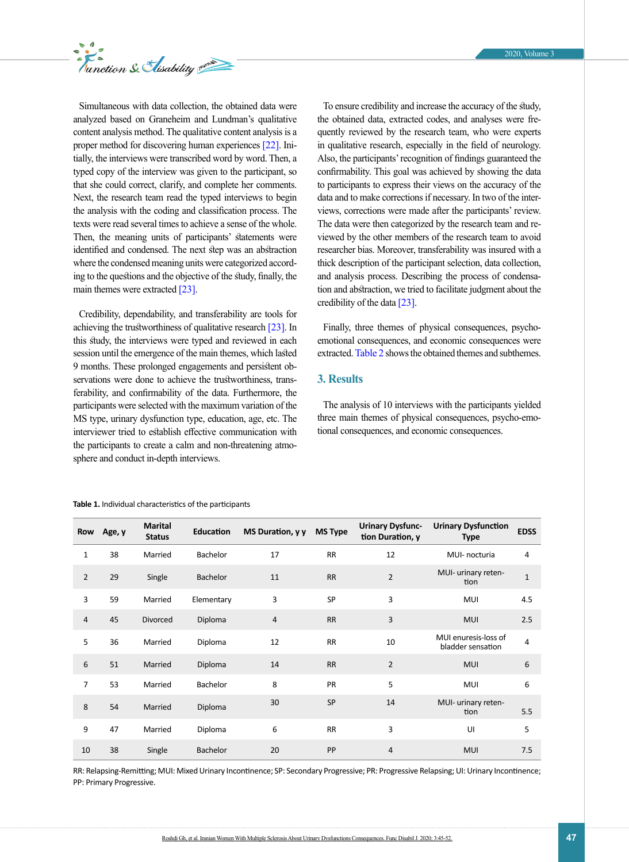

Simultaneous with data collection, the obtained data were analyzed based on Graneheim and Lundman's qualitative content analysis method. The qualitative content analysis is a proper method for discovering human experiences [\[22\]](#page-6-12). Initially, the interviews were transcribed word by word. Then, a typed copy of the interview was given to the participant, so that she could correct, clarify, and complete her comments. Next, the research team read the typed interviews to begin the analysis with the coding and classification process. The texts were read several times to achieve a sense of the whole. Then, the meaning units of participants' statements were identified and condensed. The next step was an abstraction where the condensed meaning units were categorized according to the questions and the objective of the study, finally, the main themes were extracted [\[23\]](#page-6-13).

Credibility, dependability, and transferability are tools for achieving the trustworthiness of qualitative research [\[23\].](#page-6-13) In this study, the interviews were typed and reviewed in each session until the emergence of the main themes, which lasted 9 months. These prolonged engagements and persistent observations were done to achieve the trustworthiness, transferability, and confirmability of the data. Furthermore, the participants were selected with the maximum variation of the MS type, urinary dysfunction type, education, age, etc. The interviewer tried to establish effective communication with the participants to create a calm and non-threatening atmosphere and conduct in-depth interviews.

To ensure credibility and increase the accuracy of the study, the obtained data, extracted codes, and analyses were frequently reviewed by the research team, who were experts in qualitative research, especially in the field of neurology. Also, the participants' recognition of findings guaranteed the confirmability. This goal was achieved by showing the data to participants to express their views on the accuracy of the data and to make corrections if necessary. In two of the interviews, corrections were made after the participants' review. The data were then categorized by the research team and reviewed by the other members of the research team to avoid researcher bias. Moreover, transferability was insured with a thick description of the participant selection, data collection, and analysis process. Describing the process of condensation and abstraction, we tried to facilitate judgment about the credibility of the data [\[23\].](#page-6-13)

Finally, three themes of physical consequences, psychoemotional consequences, and economic consequences were extracted. [Table 2 s](#page-3-0)hows the obtained themes and subthemes.

## **3. Results**

The analysis of 10 interviews with the participants yielded three main themes of physical consequences, psycho-emotional consequences, and economic consequences.

| Row            | Age, y | <b>Marital</b><br><b>Status</b> | <b>Education</b> | MS Duration, y y | <b>MS Type</b> | <b>Urinary Dysfunc-</b><br>tion Duration, y | <b>Urinary Dysfunction</b><br><b>Type</b> | <b>EDSS</b> |
|----------------|--------|---------------------------------|------------------|------------------|----------------|---------------------------------------------|-------------------------------------------|-------------|
| $\mathbf 1$    | 38     | Married                         | Bachelor         | 17               | <b>RR</b>      | 12                                          | MUI- nocturia                             | 4           |
| $\overline{2}$ | 29     | Single                          | <b>Bachelor</b>  | 11               | <b>RR</b>      | $\overline{2}$                              | MUI- urinary reten-<br>tion               | $\mathbf 1$ |
| 3              | 59     | Married                         | Elementary       | 3                | <b>SP</b>      | 3                                           | <b>MUI</b>                                | 4.5         |
| $\overline{4}$ | 45     | <b>Divorced</b>                 | Diploma          | $\overline{4}$   | <b>RR</b>      | 3                                           | <b>MUI</b>                                | 2.5         |
| 5              | 36     | Married                         | Diploma          | 12               | <b>RR</b>      | 10                                          | MUI enuresis-loss of<br>bladder sensation | 4           |
| 6              | 51     | Married                         | Diploma          | 14               | <b>RR</b>      | $\overline{2}$                              | <b>MUI</b>                                | 6           |
| $\overline{7}$ | 53     | Married                         | Bachelor         | 8                | <b>PR</b>      | 5                                           | MUI                                       | 6           |
| 8              | 54     | Married                         | Diploma          | 30               | <b>SP</b>      | 14                                          | MUI- urinary reten-<br>tion               | 5.5         |
| 9              | 47     | Married                         | Diploma          | 6                | <b>RR</b>      | 3                                           | UI                                        | 5           |
| 10             | 38     | Single                          | Bachelor         | 20               | PP             | $\overline{4}$                              | <b>MUI</b>                                | 7.5         |

<span id="page-2-0"></span>**Table 1.** Individual characteristics of the participants

RR: Relapsing-Remitting; MUI: Mixed Urinary Incontinence; SP: Secondary Progressive; PR: Progressive Relapsing; UI: Urinary Incontinence; PP: Primary Progressive.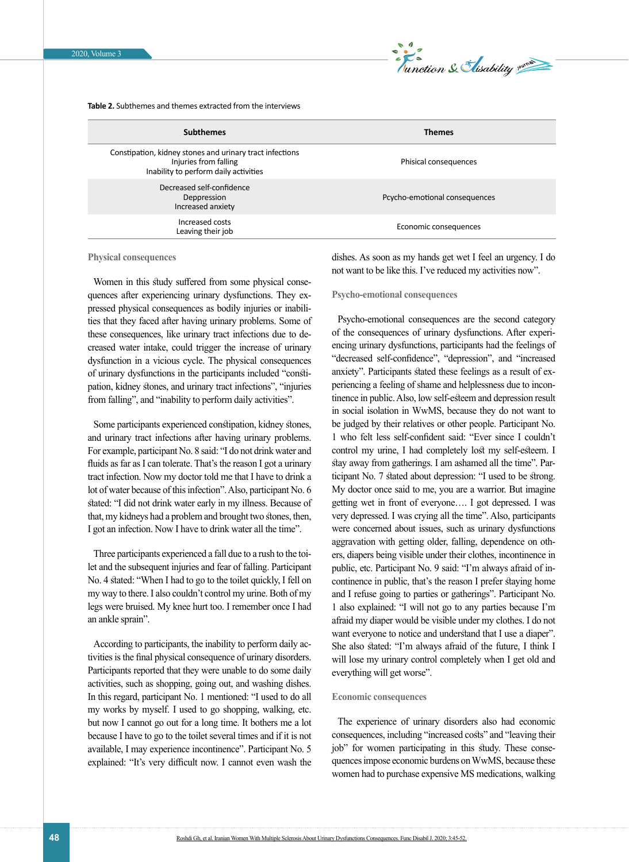

<span id="page-3-0"></span>**Table 2.** Subthemes and themes extracted from the interviews

| <b>Subthemes</b>                                                                                                           | <b>Themes</b>                 |
|----------------------------------------------------------------------------------------------------------------------------|-------------------------------|
| Constipation, kidney stones and urinary tract infections<br>Injuries from falling<br>Inability to perform daily activities | Phisical consequences         |
| Decreased self-confidence<br>Deppression<br>Increased anxiety                                                              | Pcycho-emotional consequences |
| Increased costs<br>Leaving their job                                                                                       | Economic consequences         |

**Physical consequences**

Women in this study suffered from some physical consequences after experiencing urinary dysfunctions. They expressed physical consequences as bodily injuries or inabilities that they faced after having urinary problems. Some of these consequences, like urinary tract infections due to decreased water intake, could trigger the increase of urinary dysfunction in a vicious cycle. The physical consequences of urinary dysfunctions in the participants included "constipation, kidney stones, and urinary tract infections", "injuries from falling", and "inability to perform daily activities".

Some participants experienced constipation, kidney stones, and urinary tract infections after having urinary problems. For example, participant No. 8 said: "I do not drink water and fluids as far as I can tolerate. That's the reason I got a urinary tract infection. Now my doctor told me that I have to drink a lot of water because of this infection". Also, participant No. 6 stated: "I did not drink water early in my illness. Because of that, my kidneys had a problem and brought two stones, then, I got an infection. Now I have to drink water all the time".

Three participants experienced a fall due to a rush to the toilet and the subsequent injuries and fear of falling. Participant No. 4 stated: "When I had to go to the toilet quickly, I fell on my way to there. I also couldn't control my urine. Both of my legs were bruised. My knee hurt too. I remember once I had an ankle sprain".

According to participants, the inability to perform daily activities is the final physical consequence of urinary disorders. Participants reported that they were unable to do some daily activities, such as shopping, going out, and washing dishes. In this regard, participant No. 1 mentioned: "I used to do all my works by myself. I used to go shopping, walking, etc. but now I cannot go out for a long time. It bothers me a lot because I have to go to the toilet several times and if it is not available, I may experience incontinence". Participant No. 5 explained: "It's very difficult now. I cannot even wash the dishes. As soon as my hands get wet I feel an urgency. I do not want to be like this. I've reduced my activities now".

## **Psycho-emotional consequences**

Psycho-emotional consequences are the second category of the consequences of urinary dysfunctions. After experiencing urinary dysfunctions, participants had the feelings of "decreased self-confidence", "depression", and "increased anxiety". Participants stated these feelings as a result of experiencing a feeling of shame and helplessness due to incontinence in public. Also, low self-esteem and depression result in social isolation in WwMS, because they do not want to be judged by their relatives or other people. Participant No. 1 who felt less self-confident said: "Ever since I couldn't control my urine, I had completely lost my self-esteem. I stay away from gatherings. I am ashamed all the time". Participant No. 7 stated about depression: "I used to be strong. My doctor once said to me, you are a warrior. But imagine getting wet in front of everyone…. I got depressed. I was very depressed. I was crying all the time". Also, participants were concerned about issues, such as urinary dysfunctions aggravation with getting older, falling, dependence on others, diapers being visible under their clothes, incontinence in public, etc. Participant No. 9 said: "I'm always afraid of incontinence in public, that's the reason I prefer staying home and I refuse going to parties or gatherings". Participant No. 1 also explained: "I will not go to any parties because I'm afraid my diaper would be visible under my clothes. I do not want everyone to notice and understand that I use a diaper". She also stated: "I'm always afraid of the future, I think I will lose my urinary control completely when I get old and everything will get worse".

#### **Economic consequences**

The experience of urinary disorders also had economic consequences, including "increased costs" and "leaving their job" for women participating in this study. These consequences impose economic burdens on WwMS, because these women had to purchase expensive MS medications, walking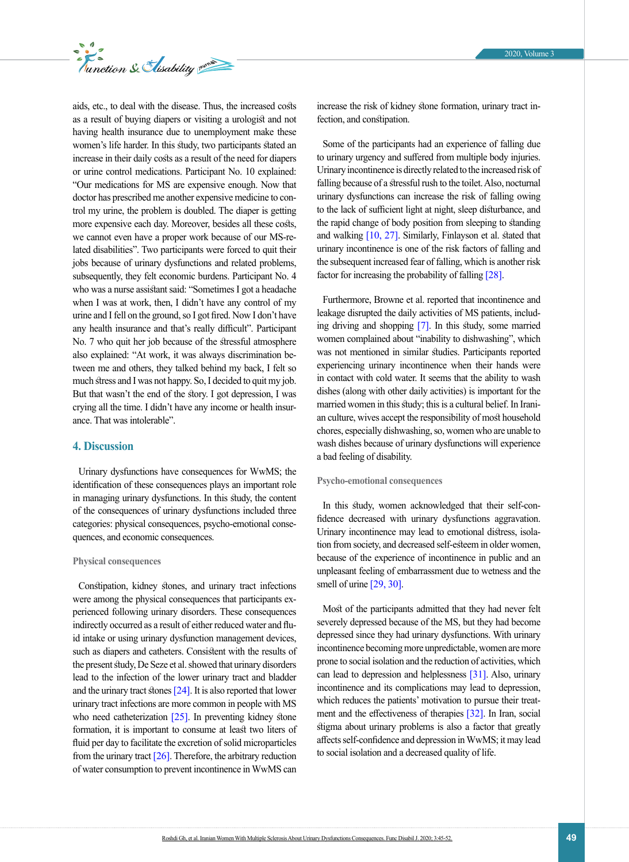

aids, etc., to deal with the disease. Thus, the increased costs as a result of buying diapers or visiting a urologist and not having health insurance due to unemployment make these women's life harder. In this study, two participants stated an increase in their daily costs as a result of the need for diapers or urine control medications. Participant No. 10 explained: "Our medications for MS are expensive enough. Now that doctor has prescribed me another expensive medicine to control my urine, the problem is doubled. The diaper is getting more expensive each day. Moreover, besides all these costs, we cannot even have a proper work because of our MS-related disabilities". Two participants were forced to quit their jobs because of urinary dysfunctions and related problems, subsequently, they felt economic burdens. Participant No. 4 who was a nurse assistant said: "Sometimes I got a headache when I was at work, then, I didn't have any control of my urine and I fell on the ground, so I got fired. Now I don't have any health insurance and that's really difficult". Participant No. 7 who quit her job because of the stressful atmosphere also explained: "At work, it was always discrimination between me and others, they talked behind my back, I felt so much stress and I was not happy. So, I decided to quit my job. But that wasn't the end of the story. I got depression, I was crying all the time. I didn't have any income or health insurance. That was intolerable".

## **4. Discussion**

Urinary dysfunctions have consequences for WwMS; the identification of these consequences plays an important role in managing urinary dysfunctions. In this study, the content of the consequences of urinary dysfunctions included three categories: physical consequences, psycho-emotional consequences, and economic consequences.

#### **Physical consequences**

Constipation, kidney stones, and urinary tract infections were among the physical consequences that participants experienced following urinary disorders. These consequences indirectly occurred as a result of either reduced water and fluid intake or using urinary dysfunction management devices, such as diapers and catheters. Consistent with the results of the present study, De Seze et al. showed that urinary disorders lead to the infection of the lower urinary tract and bladder and the urinary tract stones [24]. It is also reported that lower urinary tract infections are more common in people with MS who need catheterization  $[25]$ . In preventing kidney stone formation, it is important to consume at least two liters of fluid per day to facilitate the excretion of solid microparticles from the urinary tract  $[26]$ . Therefore, the arbitrary reduction of water consumption to prevent incontinence in WwMS can

increase the risk of kidney stone formation, urinary tract infection, and constipation.

Some of the participants had an experience of falling due to urinary urgency and suffered from multiple body injuries. Urinary incontinence is directly related to the increased risk of falling because of a stressful rush to the toilet. Also, nocturnal urinary dysfunctions can increase the risk of falling owing to the lack of sufficient light at night, sleep disturbance, and the rapid change of body position from sleeping to standing and walking  $[10, 27]$  $[10, 27]$ . Similarly, Finlayson et al. stated that urinary incontinence is one of the risk factors of falling and the subsequent increased fear of falling, which is another risk factor for increasing the probability of falling [\[28\].](#page-6-17)

Furthermore, Browne et al. reported that incontinence and leakage disrupted the daily activities of MS patients, including driving and shopping [\[7\].](#page-6-2) In this study, some married women complained about "inability to dishwashing", which was not mentioned in similar studies. Participants reported experiencing urinary incontinence when their hands were in contact with cold water. It seems that the ability to wash dishes (along with other daily activities) is important for the married women in this study; this is a cultural belief. In Iranian culture, wives accept the responsibility of most household chores, especially dishwashing, so, women who are unable to wash dishes because of urinary dysfunctions will experience a bad feeling of disability.

## **Psycho-emotional consequences**

In this study, women acknowledged that their self-confidence decreased with urinary dysfunctions aggravation. Urinary incontinence may lead to emotional distress, isolation from society, and decreased self-esteem in older women, because of the experience of incontinence in public and an unpleasant feeling of embarrassment due to wetness and the smell of urine [\[29,](#page-6-18) [30\]](#page-6-19).

Most of the participants admitted that they had never felt severely depressed because of the MS, but they had become depressed since they had urinary dysfunctions. With urinary incontinence becoming more unpredictable, women are more prone to social isolation and the reduction of activities, which can lead to depression and helplessness [31]. Also, urinary incontinence and its complications may lead to depression, which reduces the patients' motivation to pursue their treatment and the effectiveness of therapies [\[32\]](#page-6-20). In Iran, social stigma about urinary problems is also a factor that greatly affects self-confidence and depression in WwMS; it may lead to social isolation and a decreased quality of life.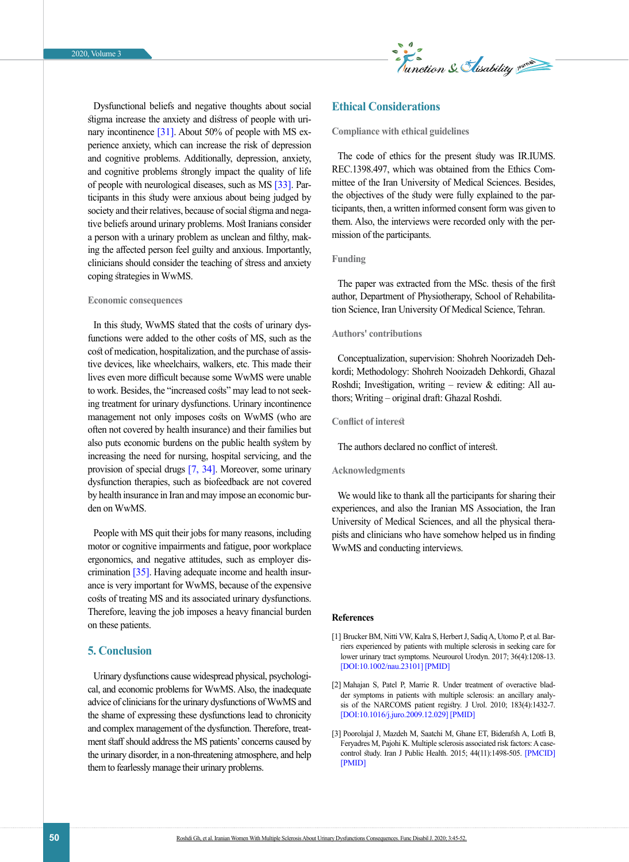

Dysfunctional beliefs and negative thoughts about social stigma increase the anxiety and distress of people with urinary incontinence [31]. About 50% of people with MS experience anxiety, which can increase the risk of depression and cognitive problems. Additionally, depression, anxiety, and cognitive problems strongly impact the quality of life of people with neurological diseases, such as MS [\[33\]](#page-6-21). Participants in this study were anxious about being judged by society and their relatives, because of social stigma and negative beliefs around urinary problems. Most Iranians consider a person with a urinary problem as unclean and filthy, making the affected person feel guilty and anxious. Importantly, clinicians should consider the teaching of stress and anxiety coping strategies in WwMS.

#### **Economic consequences**

In this study, WwMS stated that the costs of urinary dysfunctions were added to the other costs of MS, such as the cost of medication, hospitalization, and the purchase of assistive devices, like wheelchairs, walkers, etc. This made their lives even more difficult because some WwMS were unable to work. Besides, the "increased costs" may lead to not seeking treatment for urinary dysfunctions. Urinary incontinence management not only imposes costs on WwMS (who are often not covered by health insurance) and their families but also puts economic burdens on the public health system by increasing the need for nursing, hospital servicing, and the provision of special drugs [\[7,](#page-6-2) [34\].](#page-6-22) Moreover, some urinary dysfunction therapies, such as biofeedback are not covered by health insurance in Iran and may impose an economic burden on WwMS.

People with MS quit their jobs for many reasons, including motor or cognitive impairments and fatigue, poor workplace ergonomics, and negative attitudes, such as employer discrimination [35]. Having adequate income and health insurance is very important for WwMS, because of the expensive costs of treating MS and its associated urinary dysfunctions. Therefore, leaving the job imposes a heavy financial burden on these patients.

## **5. Conclusion**

Urinary dysfunctions cause widespread physical, psychological, and economic problems for WwMS. Also, the inadequate advice of clinicians for the urinary dysfunctions of WwMS and the shame of expressing these dysfunctions lead to chronicity and complex management of the dysfunction. Therefore, treatment staff should address the MS patients' concerns caused by the urinary disorder, in a non-threatening atmosphere, and help them to fearlessly manage their urinary problems.

## **Ethical Considerations**

**Compliance with ethical guidelines**

The code of ethics for the present study was IR.IUMS. REC.1398.497, which was obtained from the Ethics Committee of the Iran University of Medical Sciences. Besides, the objectives of the study were fully explained to the participants, then, a written informed consent form was given to them. Also, the interviews were recorded only with the permission of the participants.

## **Funding**

The paper was extracted from the MSc. thesis of the first author, Department of Physiotherapy, School of Rehabilitation Science, Iran University Of Medical Science, Tehran.

## **Authors' contributions**

Conceptualization, supervision: Shohreh Noorizadeh Dehkordi; Methodology: Shohreh Nooizadeh Dehkordi, Ghazal Roshdi; Investigation, writing – review  $\&$  editing: All authors; Writing – original draft: Ghazal Roshdi.

## **Conflict of interest**

The authors declared no conflict of interest.

## **Acknowledgments**

We would like to thank all the participants for sharing their experiences, and also the Iranian MS Association, the Iran University of Medical Sciences, and all the physical therapists and clinicians who have somehow helped us in finding WwMS and conducting interviews.

### **References**

- <span id="page-5-0"></span>[1] Brucker BM, Nitti VW, Kalra S, Herbert J, Sadiq A, Utomo P, et al. Barriers experienced by patients with multiple sclerosis in seeking care for lower urinary tract symptoms. Neurourol Urodyn. 2017; 36(4):1208-13. [[DOI:10.1002/nau.23101\]](https://doi.org/10.1002/nau.23101) [\[PMID\]](https://www.ncbi.nlm.nih.gov/pubmed/27548624)
- [2] Mahajan S, Patel P, Marrie R. Under treatment of overactive bladder symptoms in patients with multiple sclerosis: an ancillary analysis of the NARCOMS patient registry. J Urol. 2010; 183(4):1432-7. [[DOI:10.1016/j.juro.2009.12.029](https://doi.org/10.1016/j.juro.2009.12.029)] [[PMID](https://www.ncbi.nlm.nih.gov/pubmed/20171697)]
- [3] Poorolajal J, Mazdeh M, Saatchi M, Ghane ET, Biderafsh A, Lotfi B, Feryadres M, Pajohi K. Multiple sclerosis associated risk factors: A casecontrol study. Iran J Public Health. 2015; 44(11):1498-505. [\[PMCID\]](https://www.ncbi.nlm.nih.gov/pmc/articles/PMC4703229/)  [\[PMID\]](https://www.ncbi.nlm.nih.gov/pmc/articles/PMC4703229/)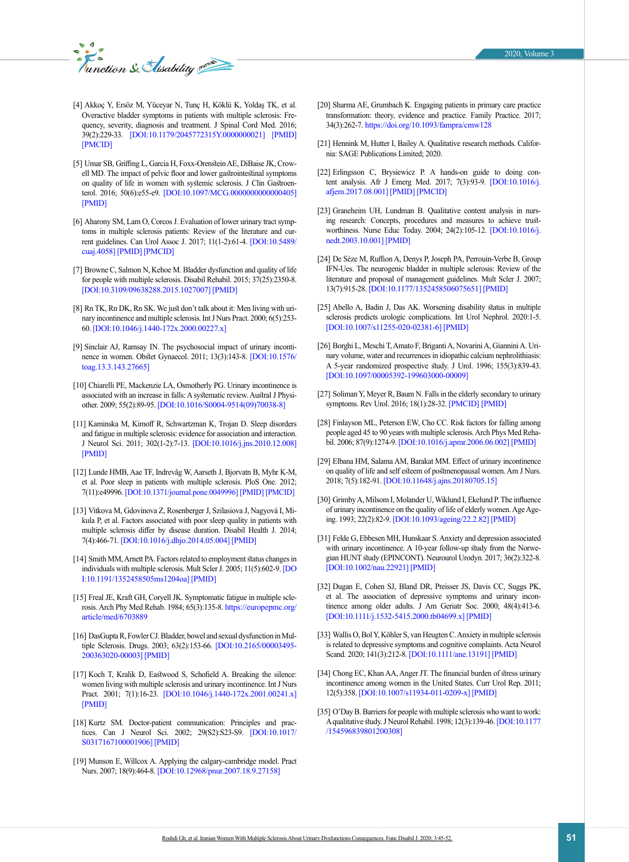- [4] Akkoç Y, Ersöz M, Yüceyar N, Tunç H, Köklü K, Yoldaş TK, et al. Overactive bladder symptoms in patients with multiple sclerosis: Frequency, severity, diagnosis and treatment. J Spinal Cord Med. 2016; 39(2):229-33. [[DOI:10.1179/2045772315Y.0000000021\]](https://doi.org/10.1179/2045772315Y.0000000021) [[PMID](https://www.ncbi.nlm.nih.gov/pubmed/25936385)] [[PMCID](http://www.ncbi.nlm.nih.gov/pmc/articles/PMC5072493)]
- <span id="page-6-0"></span>[5] Umar SB, Griffing L, Garcia H, Foxx-Orenstein AE, DiBaise JK, Crowell MD. The impact of pelvic floor and lower gastrointestinal symptoms on quality of life in women with systemic sclerosis. J Clin Gastroenterol. 2016; 50(6):e55-e9. [[DOI:10.1097/MCG.0000000000000405](https://doi.org/10.1097/MCG.0000000000000405)] [[PMID](https://www.ncbi.nlm.nih.gov/pubmed/26325189)]
- <span id="page-6-1"></span>[6] Aharony SM, Lam O, Corcos J. Evaluation of lower urinary tract symptoms in multiple sclerosis patients: Review of the literature and current guidelines. Can Urol Assoc J. 2017; 11(1-2):61-4. [[DOI:10.5489/](https://doi.org/10.5489/cuaj.4058) [cuaj.4058](https://doi.org/10.5489/cuaj.4058)] [[PMID](https://www.ncbi.nlm.nih.gov/pubmed/28443147)] [[PMCID](http://www.ncbi.nlm.nih.gov/pmc/articles/PMC5403674)]
- <span id="page-6-2"></span>[7] Browne C, Salmon N, Kehoe M. Bladder dysfunction and quality of life for people with multiple sclerosis. Disabil Rehabil. 2015; 37(25):2350-8. [[DOI:10.3109/09638288.2015.1027007\]](https://doi.org/10.3109/09638288.2015.1027007) [[PMID\]](https://www.ncbi.nlm.nih.gov/pubmed/25801920)
- [8] Rn TK, Rn DK, Rn SK. We just don't talk about it: Men living with urinary incontinence and multiple sclerosis. Int J Nurs Pract. 2000; 6(5):253- 60. [[DOI:10.1046/j.1440-172x.2000.00227.x](https://doi.org/10.1046/j.1440-172x.2000.00227.x)]
- <span id="page-6-3"></span>[9] Sinclair AJ, Ramsay IN. The psychosocial impact of urinary incontinence in women. Obstet Gynaecol. 2011; 13(3):143-8. [[DOI:10.1576/](https://doi.org/10.1576/toag.13.3.143.27665) [toag.13.3.143.27665\]](https://doi.org/10.1576/toag.13.3.143.27665)
- <span id="page-6-4"></span>[10] Chiarelli PE, Mackenzie LA, Osmotherly PG. Urinary incontinence is associated with an increase in falls: A systematic review. Austral J Physiother. 2009; 55(2):89-95. [[DOI:10.1016/S0004-9514\(09\)70038-8](https://doi.org/10.1016/S0004-9514(09)70038-8)]
- <span id="page-6-5"></span>[11] Kaminska M, Kimoff R, Schwartzman K, Trojan D. Sleep disorders and fatigue in multiple sclerosis: evidence for association and interaction. J Neurol Sci. 2011; 302(1-2):7-13. [[DOI:10.1016/j.jns.2010.12.008](https://doi.org/10.1016/j.jns.2010.12.008)] [[PMID](https://www.ncbi.nlm.nih.gov/pubmed/21241993)]
- [12] Lunde HMB, Aae TF, Indrevåg W, Aarseth J, Bjorvatn B, Myhr K-M, et al. Poor sleep in patients with multiple sclerosis. PloS One. 2012; 7(11):e49996. [[DOI:10.1371/journal.pone.0049996\]](https://doi.org/10.1371/journal.pone.0049996) [\[PMID](https://www.ncbi.nlm.nih.gov/pubmed/23166808)] [[PMCID](http://www.ncbi.nlm.nih.gov/pmc/articles/PMC3498191)]
- [13] Vitkova M, Gdovinova Z, Rosenberger J, Szilasiova J, Nagyová I, Mikula P, et al. Factors associated with poor sleep quality in patients with multiple sclerosis differ by disease duration. Disabil Health J. 2014; 7(4):466-71. [[DOI:10.1016/j.dhjo.2014.05.004](https://doi.org/10.1016/j.dhjo.2014.05.004)] [[PMID](https://www.ncbi.nlm.nih.gov/pubmed/25224987)]
- <span id="page-6-6"></span>[14] Smith MM, Arnett PA. Factors related to employment status changes in individuals with multiple sclerosis. Mult Scler J. 2005; 11(5):602-9. [[DO](https://doi.org/10.1191/1352458505ms1204oa) [I:10.1191/1352458505ms1204oa](https://doi.org/10.1191/1352458505ms1204oa)] [[PMID](https://www.ncbi.nlm.nih.gov/pubmed/16193900)]
- <span id="page-6-7"></span>[15] Freal JE, Kraft GH, Coryell JK. Symptomatic fatigue in multiple sclerosis. Arch Phy Med Rehab. 1984; 65(3):135-8. [https://europepmc.org/](https://europepmc.org/article/med/6703889 ) [article/med/6703889](https://europepmc.org/article/med/6703889 )
- <span id="page-6-8"></span>[16] DasGupta R, Fowler CJ. Bladder, bowel and sexual dysfunction in Multiple Sclerosis. Drugs. 2003; 63(2):153-66. [[DOI:10.2165/00003495-](https://doi.org/10.2165/00003495-200363020-00003) [200363020-00003\]](https://doi.org/10.2165/00003495-200363020-00003) [[PMID\]](https://www.ncbi.nlm.nih.gov/pubmed/12515563)
- <span id="page-6-9"></span>[17] Koch T, Kralik D, Eastwood S, Schofield A. Breaking the silence: women living with multiple sclerosis and urinary incontinence. Int J Nurs Pract. 2001; 7(1):16-23. [[DOI:10.1046/j.1440-172x.2001.00241.x](https://doi.org/10.1046/j.1440-172x.2001.00241.x)] [[PMID](https://www.ncbi.nlm.nih.gov/pubmed/11811342)]
- <span id="page-6-10"></span>[18] Kurtz SM. Doctor-patient communication: Principles and practices. Can J Neurol Sci. 2002; 29(S2):S23-S9. [[DOI:10.1017/](https://doi.org/10.1017/S0317167100001906) [S0317167100001906\]](https://doi.org/10.1017/S0317167100001906) [[PMID](https://www.ncbi.nlm.nih.gov/pubmed/12139082)]
- [19] Munson E, Willcox A. Applying the calgary-cambridge model. Pract Nurs. 2007; 18(9):464-8. [[DOI:10.12968/pnur.2007.18.9.27158](https://doi.org/10.12968/pnur.2007.18.9.27158)]
- [20] Sharma AE, Grumbach K. Engaging patients in primary care practice transformation: theory, evidence and practice. Family Practice. 2017; 34(3):262-7.<https://doi.org/10.1093/fampra/cmw128>
- <span id="page-6-11"></span>[21] Hennink M, Hutter I, Bailey A. Qualitative research methods. California: SAGE Publications Limited; 2020.
- <span id="page-6-12"></span>[22] Erlingsson C, Brysiewicz P. A hands-on guide to doing content analysis. Afr J Emerg Med. 2017; 7(3):93-9. [[DOI:10.1016/j.](https://doi.org/10.1016/j.afjem.2017.08.001) [afjem.2017.08.001](https://doi.org/10.1016/j.afjem.2017.08.001)] [[PMID\]](https://www.ncbi.nlm.nih.gov/pubmed/30456117) [[PMCID\]](http://www.ncbi.nlm.nih.gov/pmc/articles/PMC6234169)
- <span id="page-6-13"></span>[23] Graneheim UH, Lundman B. Qualitative content analysis in nursing research: Concepts, procedures and measures to achieve trustworthiness. Nurse Educ Today. 2004; 24(2):105-12. [[DOI:10.1016/j.](https://doi.org/10.1016/j.nedt.2003.10.001) [nedt.2003.10.001\]](https://doi.org/10.1016/j.nedt.2003.10.001) [[PMID\]](https://www.ncbi.nlm.nih.gov/pubmed/14769454)
- [24] De Sèze M, Ruffion A, Denys P, Joseph PA, Perrouin-Verbe B, Group IFN-Ues. The neurogenic bladder in multiple sclerosis: Review of the literature and proposal of management guidelines. Mult Scler J. 2007; 13(7):915-28. [[DOI:10.1177/1352458506075651](https://doi.org/10.1177/1352458506075651)] [[PMID](https://www.ncbi.nlm.nih.gov/pubmed/17881401)]
- <span id="page-6-14"></span>[25] Abello A, Badin J, Das AK. Worsening disability status in multiple sclerosis predicts urologic complications. Int Urol Nephrol. 2020:1-5. [[DOI:10.1007/s11255-020-02381-6\]](https://doi.org/10.1007/s11255-020-02381-6) [[PMID\]](https://www.ncbi.nlm.nih.gov/pubmed/31983045)
- <span id="page-6-15"></span>[26] Borghi L, Meschi T, Amato F, Briganti A, Novarini A, Giannini A. Urinary volume, water and recurrences in idiopathic calcium nephrolithiasis: A 5-year randomized prospective study. J Urol. 1996; 155(3):839-43. [[DOI:10.1097/00005392-199603000-00009\]](https://doi.org/10.1097/00005392-199603000-00009)
- <span id="page-6-16"></span>[27] Soliman Y, Meyer R, Baum N. Falls in the elderly secondary to urinary symptoms. Rev Urol. 2016; 18(1):28-32. [\[PMCID\] \[PMID\]](https://www.ncbi.nlm.nih.gov/pmc/articles/PMC4859925/)
- <span id="page-6-17"></span>[28] Finlayson ML, Peterson EW, Cho CC. Risk factors for falling among people aged 45 to 90 years with multiple sclerosis. Arch Phys Med Rehabil. 2006; 87(9):1274-9. [[DOI:10.1016/j.apmr.2006.06.002](https://doi.org/10.1016/j.apmr.2006.06.002)] [[PMID](https://www.ncbi.nlm.nih.gov/pubmed/16935067)]
- <span id="page-6-18"></span>[29] Elbana HM, Salama AM, Barakat MM. Effect of urinary incontinence on quality of life and self esteem of postmenopausal women. Am J Nurs. 2018; 7(5):182-91. [[DOI:10.11648/j.ajns.20180705.15](https://doi.org/10.11648/j.ajns.20180705.15)]
- <span id="page-6-19"></span>[30] Grimby A, Milsom I, Molander U, Wiklund I, Ekelund P. The influence of urinary incontinence on the quality of life of elderly women. Age Ageing. 1993; 22(2):82-9. [[DOI:10.1093/ageing/22.2.82\]](https://doi.org/10.1093/ageing/22.2.82) [[PMID\]](https://www.ncbi.nlm.nih.gov/pubmed/8470564)
- [31] Felde G, Ebbesen MH, Hunskaar S. Anxiety and depression associated with urinary incontinence. A 10-year follow-up study from the Norwegian HUNT study (EPINCONT). Neurourol Urodyn. 2017; 36(2):322-8. [[DOI:10.1002/nau.22921\]](https://doi.org/10.1002/nau.22921) [[PMID\]](https://www.ncbi.nlm.nih.gov/pubmed/26584597)
- <span id="page-6-20"></span>[32] Dugan E, Cohen SJ, Bland DR, Preisser JS, Davis CC, Suggs PK, et al. The association of depressive symptoms and urinary incontinence among older adults. J Am Geriatr Soc. 2000; 48(4):413-6. [[DOI:10.1111/j.1532-5415.2000.tb04699.x](https://doi.org/10.1111/j.1532-5415.2000.tb04699.x)] [[PMID](https://www.ncbi.nlm.nih.gov/pubmed/10798468)]
- <span id="page-6-21"></span>[33] Wallis O, Bol Y, Köhler S, van Heugten C. Anxiety in multiple sclerosis is related to depressive symptoms and cognitive complaints. Acta Neurol Scand. 2020; 141(3):212-8. [[DOI:10.1111/ane.13191\]](https://doi.org/10.1111/ane.13191) [[PMID\]](https://www.ncbi.nlm.nih.gov/pubmed/31693750)
- <span id="page-6-22"></span>[34] Chong EC, Khan AA, Anger JT. The financial burden of stress urinary incontinence among women in the United States. Curr Urol Rep. 2011; 12(5):358. [[DOI:10.1007/s11934-011-0209-x](https://doi.org/10.1007/s11934-011-0209-x)] [[PMID](https://www.ncbi.nlm.nih.gov/pubmed/21847532)]
- [35] O'Day B. Barriers for people with multiple sclerosis who want to work: A qualitative study. J Neurol Rehabil. 1998; 12(3):139-46. [[DOI:10.1177](https://doi.org/10.1177/154596839801200308) [/154596839801200308\]](https://doi.org/10.1177/154596839801200308)